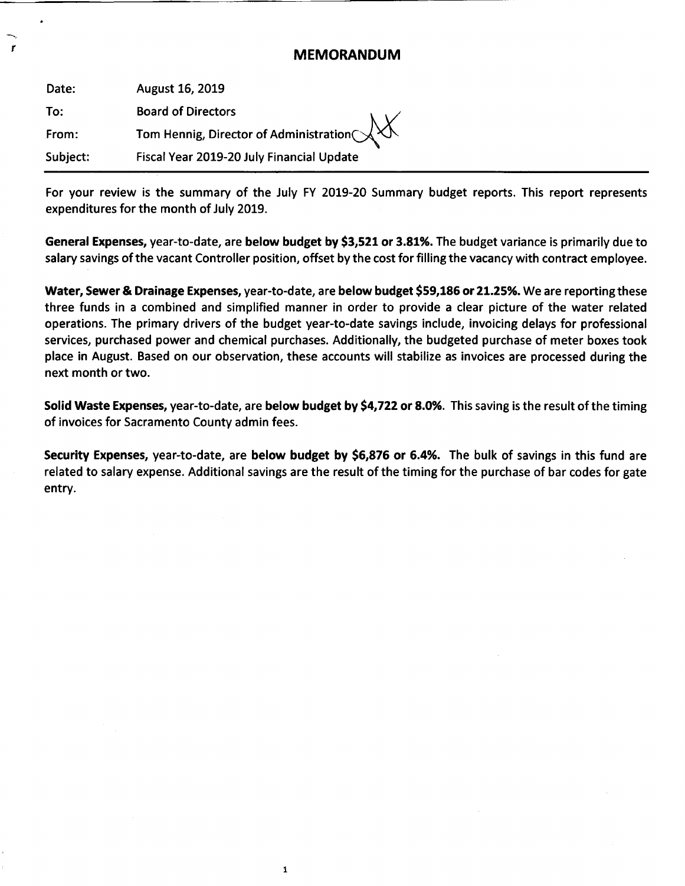## MEMORANDUM

| Date:    | August 16, 2019                               |
|----------|-----------------------------------------------|
| To:      | <b>Board of Directors</b>                     |
| From:    | Tom Hennig, Director of Administration $\sim$ |
| Subject: | Fiscal Year 2019-20 July Financial Update     |

r

For your review is the summary of the July FY 2019-20 Summary budget reports. This report represents expenditures for the month of July 2019.

General Expenses, year-to-date, are below budget by \$3,521 or 3.81%. The budget variance is primarily due to salary savings of the vacant Controller position, offset by the cost for filling the vacancy with contract employee.

Water, Sewer & Drainage Expenses, year-to-date, are below budget \$59,186 or 21.25%. We are reporting these three funds in a combined and simplified manner in order to provide a clear picture of the water related operations. The primary drivers of the budget year-to-date savings include, invoicing delays for professional services, purchased power and chemical purchases. Additionally, the budgeted purchase of meter boxes took place in August. Based on our observation, these accounts will stabilize as invoices are processed during the next month or two.

Solid Waste Expenses, year-to-date, are below budget by \$4,722 or 8.0%. This saving is the result of the timing of invoices for Sacramento County admin fees.

Security Expenses, year-to-date, are below budget by \$6,876 or 6.4%. The bulk of savings in this fund are related to salary expense. Additional savings are the result of the timing for the purchase of bar codes for gate entry.

t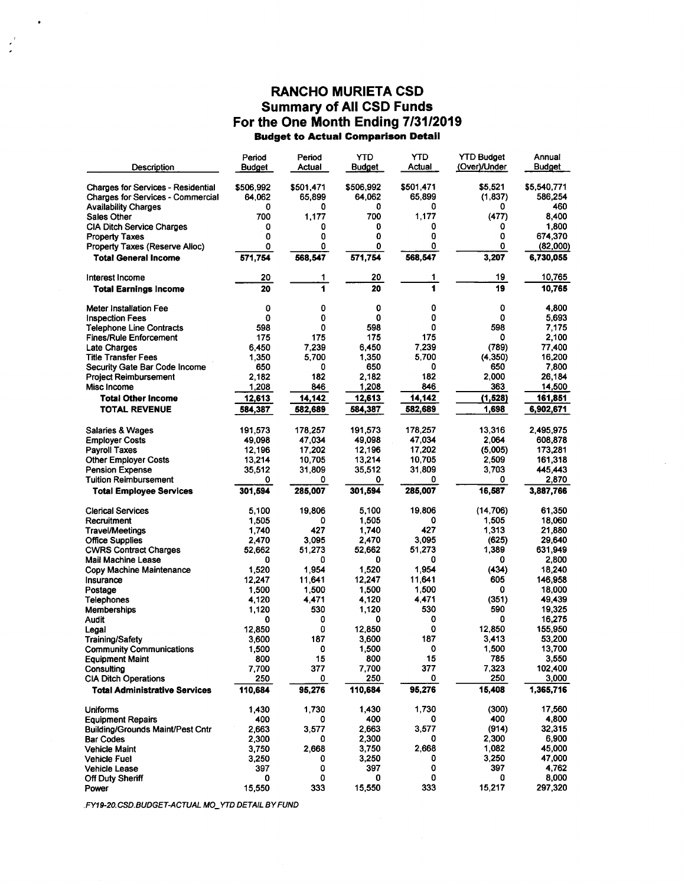## **RANCHO MURIETA CSD Summary of All CSD Funds** For the One Month Ending 7/31/2019<br>Budget to Actual Comparison Detail

| Description                               | Period<br>Budget | Period<br>Actual | YTD<br>Budget | YTD<br>Actual | <b>YTD Budget</b><br>(Over)/Under | Annual<br>Budget |
|-------------------------------------------|------------------|------------------|---------------|---------------|-----------------------------------|------------------|
| <b>Charges for Services - Residential</b> | \$506,992        | \$501,471        | \$506,992     | \$501,471     | \$5,521                           | \$5,540,771      |
| <b>Charges for Services - Commercial</b>  | 64,062           | 65,899           | 64,062        | 65,899        | (1, 837)                          | 586,254          |
| <b>Availability Charges</b>               | 0                | 0                | 0             | ٥             | 0                                 | 460              |
| Sales Other                               | 700              | 1,177            | 700           | 1.177         | (477)                             | 8,400            |
| <b>CIA Ditch Service Charges</b>          | 0                | 0                | 0             | 0             | 0                                 | 1,800            |
| <b>Property Taxes</b>                     | 0                | 0                | 0             | 0             | 0                                 | 674,370          |
| Property Taxes (Reserve Alloc)            | 0                | 0                | 0             | 0             | 0                                 | (82,000)         |
| <b>Total General Income</b>               | 571,754          | 568,547          | 571,754       | 568,547       | 3,207                             | 6,730,055        |
| Interest Income                           | 20               | 1                | 20            | 1             | 19                                | 10,765           |
| <b>Total Earnings Income</b>              | 20               | 1                | 20            | 1             | 19                                | 10,765           |
| Meter Installation Fee                    | 0                | 0                | 0             | 0             | 0                                 | 4,800            |
| <b>Inspection Fees</b>                    | $\mathbf 0$      | 0                | 0             | 0             | 0                                 | 5,693            |
| <b>Telephone Line Contracts</b>           | 598              | 0                | 598           | 0             | 598                               | 7,175            |
| <b>Fines/Rule Enforcement</b>             | 175              | 175              | 175           | 175           | ٥                                 | 2,100            |
| <b>Late Charges</b>                       | 6.450            | 7.239            | 6,450         | 7,239         | (789)                             | 77,400           |
| <b>Title Transfer Fees</b>                | 1,350            | 5.700            | 1,350         | 5,700         | (4,350)                           | 16,200           |
| Security Gate Bar Code Income             | 650              | 0                | 650           | 0             | 650                               | 7,800            |
| <b>Project Reimbursement</b>              | 2,182            | 182              | 2.182         | 182           | 2,000                             | 26,184           |
| Misc Income                               | 1,208            | 846              | 1,208         | 846           | 363                               | 14,500           |
| <b>Total Other Income</b>                 | 12,613           | 14,142           | 12,613        | 14,142        | (1, 528)                          | 161,851          |
| <b>TOTAL REVENUE</b>                      | 584,387          | 582,689          | 584,387       | 582,689       | 1,698                             | 6,902,671        |
| Salaries & Wages                          | 191,573          | 178,257          | 191,573       | 178,257       | 13.316                            | 2,495,975        |
| <b>Employer Costs</b>                     | 49,098           | 47,034           | 49,098        | 47,034        | 2.064                             | 608,878          |
| <b>Pavroll Taxes</b>                      | 12,196           | 17,202           | 12.196        | 17,202        | (5,005)                           | 173,281          |
| <b>Other Employer Costs</b>               | 13,214           | 10,705           | 13,214        | 10,705        | 2,509                             | 161,318          |
| <b>Pension Expense</b>                    | 35,512           | 31,809           | 35,512        | 31,809        | 3.703                             | 445.443          |
| <b>Tuition Reimbursement</b>              | 0                | 0                | 0             | 0             | 0                                 | 2,870            |
| <b>Total Employee Services</b>            | 301,594          | 285,007          | 301,594       | 285,007       | 16,587                            | 3,887,766        |
| <b>Clerical Services</b>                  | 5,100            | 19,806           | 5,100         | 19,806        | (14,706)                          | 61.350           |
| Recruitment                               | 1,505            | 0                | 1,505         | 0             | 1,505                             | 18,060           |
| Travel/Meetings                           | 1,740            | 427              | 1,740         | 427           | 1,313                             | 21,880           |
| <b>Office Supplies</b>                    | 2,470            | 3,095            | 2,470         | 3,095         | (625)                             | 29,640           |
| <b>CWRS Contract Charges</b>              | 52.662           | 51,273           | 52,662        | 51,273        | 1,389                             | 631,949          |
| Mail Machine Lease                        | 0                | 0                | 0             | 0             | 0                                 | 2,800            |
| Copy Machine Maintenance                  | 1,520            | 1,954            | 1,520         | 1,954         | (434)                             | 18,240           |
| Insurance                                 | 12,247           | 11,641           | 12,247        | 11,641        | 605                               | 146,958          |
| Postage                                   | 1,500            | 1,500            | 1,500         | 1,500         | 0                                 | 18,000           |
| Telephones                                | 4,120<br>1.120   | 4,471            | 4,120         | 4,471<br>530  | (351)<br>590                      | 49,439           |
| <b>Memberships</b><br>Audit               | 0                | 530<br>0         | 1,120<br>0    | 0             | 0                                 | 19,325<br>16,275 |
| Legal                                     | 12.850           | 0                | 12,850        | 0             | 12.850                            | 155,950          |
| <b>Training/Safety</b>                    | 3,600            | 187              | 3,600         | 187           | 3,413                             | 53,200           |
| <b>Community Communications</b>           | 1,500            | 0                | 1,500         | 0             | 1,500                             | 13,700           |
| <b>Equipment Maint</b>                    | 800              | 15               | 800           | 15            | 785                               | 3,550            |
| Consulting                                | 7,700            | 377              | 7,700         | 377           | 7,323                             | 102,400          |
| <b>CIA Ditch Operations</b>               | 250              | 0                | 250           | 0             | 250                               | 3,000            |
| <b>Total Administrative Services</b>      | 110,684          | 95,276           | 110,684       | 95,276        | 15,408                            | 1,365,716        |
| <b>Uniforms</b>                           | 1,430            | 1,730            | 1,430         | 1,730         | (300)                             | 17,560           |
| <b>Equipment Repairs</b>                  | 400              | 0                | 400           | 0             | 400                               | 4,800            |
| <b>Building/Grounds Maint/Pest Cntr</b>   | 2,663            | 3,577            | 2,663         | 3,577         | (914)                             | 32,315           |
| <b>Bar Codes</b>                          | 2,300            | 0                | 2,300         | 0             | 2,300                             | 6,900            |
| <b>Vehicle Maint</b>                      | 3,750            | 2,668            | 3,750         | 2,668         | 1,082                             | 45,000           |
| <b>Vehicle Fuel</b>                       | 3,250            | 0                | 3,250         | 0             | 3,250                             | 47,000           |
| <b>Vehicle Lease</b>                      | 397              | 0                | 397           | 0             | 397                               | 4,762            |
| <b>Off Duty Sheriff</b>                   | 0                | 0                | 0             | 0             | 0                                 | 8,000            |
| Power                                     | 15,550           | 333              | 15,550        | 333           | 15,217                            | 297,320          |

 $\mathbb{R}^2$ 

FY19-20.CSD.BUDGET-ACTUAL MO\_YTD DETAIL BY FUND

 $\mathbf{r}^{\prime}$